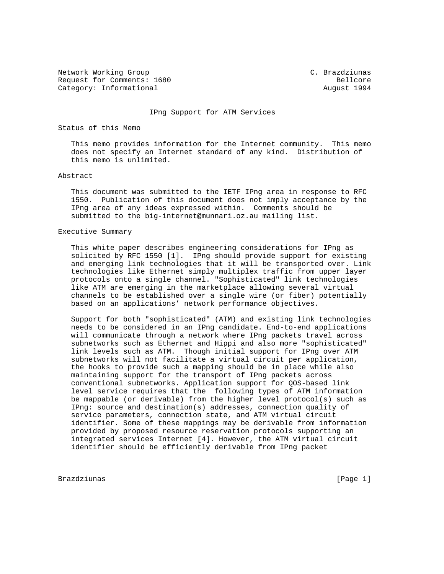Network Working Group C. Brazdziunas Request for Comments: 1680 Bellcore Category: Informational and August 1994

## IPng Support for ATM Services

## Status of this Memo

 This memo provides information for the Internet community. This memo does not specify an Internet standard of any kind. Distribution of this memo is unlimited.

#### Abstract

 This document was submitted to the IETF IPng area in response to RFC 1550. Publication of this document does not imply acceptance by the IPng area of any ideas expressed within. Comments should be submitted to the big-internet@munnari.oz.au mailing list.

#### Executive Summary

 This white paper describes engineering considerations for IPng as solicited by RFC 1550 [1]. IPng should provide support for existing and emerging link technologies that it will be transported over. Link technologies like Ethernet simply multiplex traffic from upper layer protocols onto a single channel. "Sophisticated" link technologies like ATM are emerging in the marketplace allowing several virtual channels to be established over a single wire (or fiber) potentially based on an applications' network performance objectives.

 Support for both "sophisticated" (ATM) and existing link technologies needs to be considered in an IPng candidate. End-to-end applications will communicate through a network where IPng packets travel across subnetworks such as Ethernet and Hippi and also more "sophisticated" link levels such as ATM. Though initial support for IPng over ATM subnetworks will not facilitate a virtual circuit per application, the hooks to provide such a mapping should be in place while also maintaining support for the transport of IPng packets across conventional subnetworks. Application support for QOS-based link level service requires that the following types of ATM information be mappable (or derivable) from the higher level protocol(s) such as IPng: source and destination(s) addresses, connection quality of service parameters, connection state, and ATM virtual circuit identifier. Some of these mappings may be derivable from information provided by proposed resource reservation protocols supporting an integrated services Internet [4]. However, the ATM virtual circuit identifier should be efficiently derivable from IPng packet

Brazdziunas (Page 1)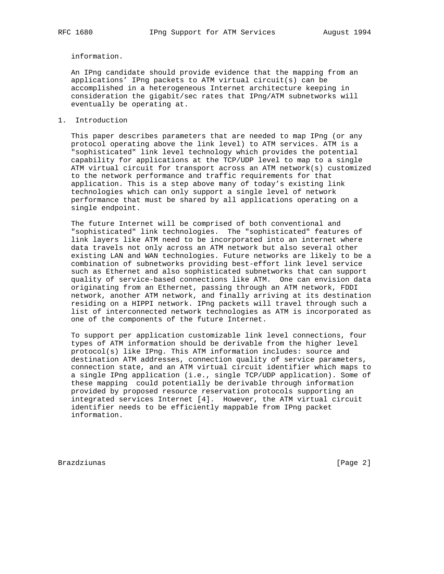information.

 An IPng candidate should provide evidence that the mapping from an applications' IPng packets to ATM virtual circuit(s) can be accomplished in a heterogeneous Internet architecture keeping in consideration the gigabit/sec rates that IPng/ATM subnetworks will eventually be operating at.

1. Introduction

 This paper describes parameters that are needed to map IPng (or any protocol operating above the link level) to ATM services. ATM is a "sophisticated" link level technology which provides the potential capability for applications at the TCP/UDP level to map to a single ATM virtual circuit for transport across an ATM network(s) customized to the network performance and traffic requirements for that application. This is a step above many of today's existing link technologies which can only support a single level of network performance that must be shared by all applications operating on a single endpoint.

 The future Internet will be comprised of both conventional and "sophisticated" link technologies. The "sophisticated" features of link layers like ATM need to be incorporated into an internet where data travels not only across an ATM network but also several other existing LAN and WAN technologies. Future networks are likely to be a combination of subnetworks providing best-effort link level service such as Ethernet and also sophisticated subnetworks that can support quality of service-based connections like ATM. One can envision data originating from an Ethernet, passing through an ATM network, FDDI network, another ATM network, and finally arriving at its destination residing on a HIPPI network. IPng packets will travel through such a list of interconnected network technologies as ATM is incorporated as one of the components of the future Internet.

 To support per application customizable link level connections, four types of ATM information should be derivable from the higher level protocol(s) like IPng. This ATM information includes: source and destination ATM addresses, connection quality of service parameters, connection state, and an ATM virtual circuit identifier which maps to a single IPng application (i.e., single TCP/UDP application). Some of these mapping could potentially be derivable through information provided by proposed resource reservation protocols supporting an integrated services Internet [4]. However, the ATM virtual circuit identifier needs to be efficiently mappable from IPng packet information.

Brazdziunas **(Page 2)**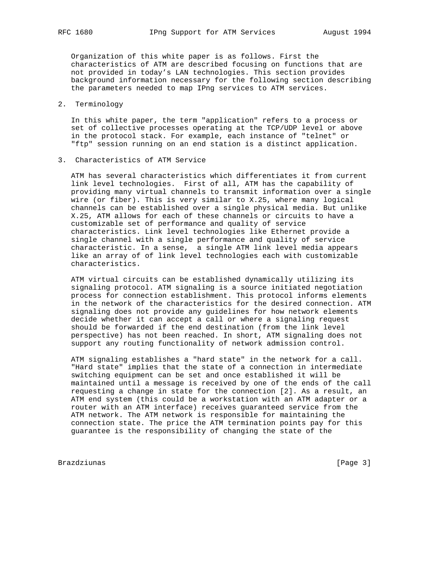Organization of this white paper is as follows. First the characteristics of ATM are described focusing on functions that are not provided in today's LAN technologies. This section provides background information necessary for the following section describing the parameters needed to map IPng services to ATM services.

# 2. Terminology

 In this white paper, the term "application" refers to a process or set of collective processes operating at the TCP/UDP level or above in the protocol stack. For example, each instance of "telnet" or "ftp" session running on an end station is a distinct application.

3. Characteristics of ATM Service

 ATM has several characteristics which differentiates it from current link level technologies. First of all, ATM has the capability of providing many virtual channels to transmit information over a single wire (or fiber). This is very similar to X.25, where many logical channels can be established over a single physical media. But unlike X.25, ATM allows for each of these channels or circuits to have a customizable set of performance and quality of service characteristics. Link level technologies like Ethernet provide a single channel with a single performance and quality of service characteristic. In a sense, a single ATM link level media appears like an array of of link level technologies each with customizable characteristics.

 ATM virtual circuits can be established dynamically utilizing its signaling protocol. ATM signaling is a source initiated negotiation process for connection establishment. This protocol informs elements in the network of the characteristics for the desired connection. ATM signaling does not provide any guidelines for how network elements decide whether it can accept a call or where a signaling request should be forwarded if the end destination (from the link level perspective) has not been reached. In short, ATM signaling does not support any routing functionality of network admission control.

 ATM signaling establishes a "hard state" in the network for a call. "Hard state" implies that the state of a connection in intermediate switching equipment can be set and once established it will be maintained until a message is received by one of the ends of the call requesting a change in state for the connection [2]. As a result, an ATM end system (this could be a workstation with an ATM adapter or a router with an ATM interface) receives guaranteed service from the ATM network. The ATM network is responsible for maintaining the connection state. The price the ATM termination points pay for this guarantee is the responsibility of changing the state of the

Brazdziunas [Page 3]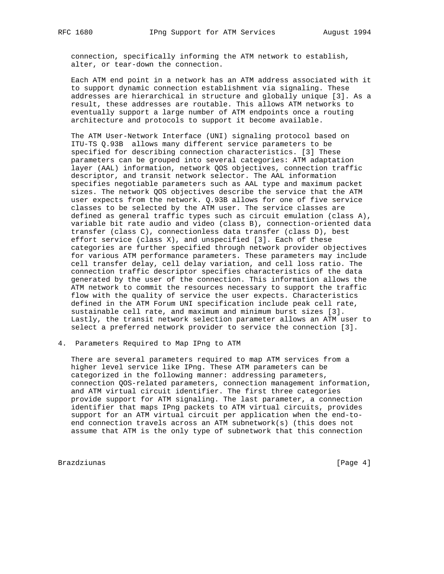connection, specifically informing the ATM network to establish, alter, or tear-down the connection.

 Each ATM end point in a network has an ATM address associated with it to support dynamic connection establishment via signaling. These addresses are hierarchical in structure and globally unique [3]. As a result, these addresses are routable. This allows ATM networks to eventually support a large number of ATM endpoints once a routing architecture and protocols to support it become available.

 The ATM User-Network Interface (UNI) signaling protocol based on ITU-TS Q.93B allows many different service parameters to be specified for describing connection characteristics. [3] These parameters can be grouped into several categories: ATM adaptation layer (AAL) information, network QOS objectives, connection traffic descriptor, and transit network selector. The AAL information specifies negotiable parameters such as AAL type and maximum packet sizes. The network QOS objectives describe the service that the ATM user expects from the network. Q.93B allows for one of five service classes to be selected by the ATM user. The service classes are defined as general traffic types such as circuit emulation (class A), variable bit rate audio and video (class B), connection-oriented data transfer (class C), connectionless data transfer (class D), best effort service (class  $X$ ), and unspecified [3]. Each of these categories are further specified through network provider objectives for various ATM performance parameters. These parameters may include cell transfer delay, cell delay variation, and cell loss ratio. The connection traffic descriptor specifies characteristics of the data generated by the user of the connection. This information allows the ATM network to commit the resources necessary to support the traffic flow with the quality of service the user expects. Characteristics defined in the ATM Forum UNI specification include peak cell rate, sustainable cell rate, and maximum and minimum burst sizes [3]. Lastly, the transit network selection parameter allows an ATM user to select a preferred network provider to service the connection [3].

# 4. Parameters Required to Map IPng to ATM

 There are several parameters required to map ATM services from a higher level service like IPng. These ATM parameters can be categorized in the following manner: addressing parameters, connection QOS-related parameters, connection management information, and ATM virtual circuit identifier. The first three categories provide support for ATM signaling. The last parameter, a connection identifier that maps IPng packets to ATM virtual circuits, provides support for an ATM virtual circuit per application when the end-to end connection travels across an ATM subnetwork(s) (this does not assume that ATM is the only type of subnetwork that this connection

Brazdziunas **(Page 4)**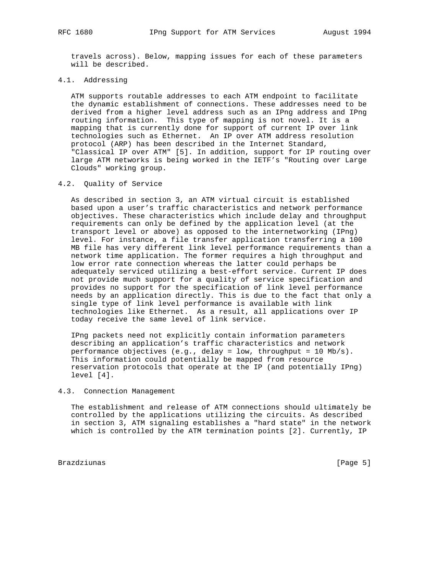travels across). Below, mapping issues for each of these parameters will be described.

# 4.1. Addressing

 ATM supports routable addresses to each ATM endpoint to facilitate the dynamic establishment of connections. These addresses need to be derived from a higher level address such as an IPng address and IPng routing information. This type of mapping is not novel. It is a mapping that is currently done for support of current IP over link technologies such as Ethernet. An IP over ATM address resolution protocol (ARP) has been described in the Internet Standard, "Classical IP over ATM" [5]. In addition, support for IP routing over large ATM networks is being worked in the IETF's "Routing over Large Clouds" working group.

## 4.2. Quality of Service

 As described in section 3, an ATM virtual circuit is established based upon a user's traffic characteristics and network performance objectives. These characteristics which include delay and throughput requirements can only be defined by the application level (at the transport level or above) as opposed to the internetworking (IPng) level. For instance, a file transfer application transferring a 100 MB file has very different link level performance requirements than a network time application. The former requires a high throughput and low error rate connection whereas the latter could perhaps be adequately serviced utilizing a best-effort service. Current IP does not provide much support for a quality of service specification and provides no support for the specification of link level performance needs by an application directly. This is due to the fact that only a single type of link level performance is available with link technologies like Ethernet. As a result, all applications over IP today receive the same level of link service.

 IPng packets need not explicitly contain information parameters describing an application's traffic characteristics and network performance objectives  $(e.g.,$  delay = low, throughput = 10 Mb/s). This information could potentially be mapped from resource reservation protocols that operate at the IP (and potentially IPng) level [4].

## 4.3. Connection Management

 The establishment and release of ATM connections should ultimately be controlled by the applications utilizing the circuits. As described in section 3, ATM signaling establishes a "hard state" in the network which is controlled by the ATM termination points [2]. Currently, IP

Brazdziunas [Page 5]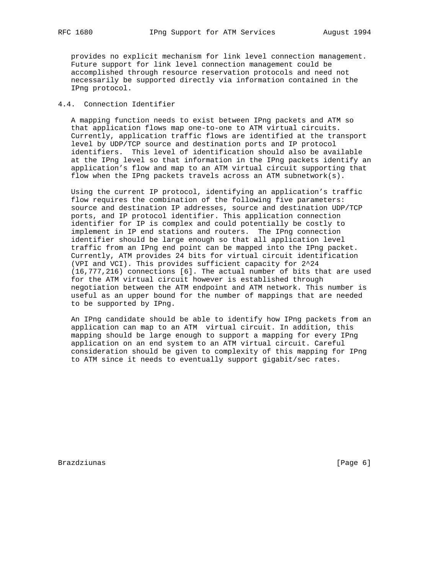provides no explicit mechanism for link level connection management. Future support for link level connection management could be accomplished through resource reservation protocols and need not necessarily be supported directly via information contained in the IPng protocol.

# 4.4. Connection Identifier

 A mapping function needs to exist between IPng packets and ATM so that application flows map one-to-one to ATM virtual circuits. Currently, application traffic flows are identified at the transport level by UDP/TCP source and destination ports and IP protocol identifiers. This level of identification should also be available at the IPng level so that information in the IPng packets identify an application's flow and map to an ATM virtual circuit supporting that flow when the IPng packets travels across an ATM subnetwork(s).

 Using the current IP protocol, identifying an application's traffic flow requires the combination of the following five parameters: source and destination IP addresses, source and destination UDP/TCP ports, and IP protocol identifier. This application connection identifier for IP is complex and could potentially be costly to implement in IP end stations and routers. The IPng connection identifier should be large enough so that all application level traffic from an IPng end point can be mapped into the IPng packet. Currently, ATM provides 24 bits for virtual circuit identification (VPI and VCI). This provides sufficient capacity for 2^24 (16,777,216) connections [6]. The actual number of bits that are used for the ATM virtual circuit however is established through negotiation between the ATM endpoint and ATM network. This number is useful as an upper bound for the number of mappings that are needed to be supported by IPng.

 An IPng candidate should be able to identify how IPng packets from an application can map to an ATM virtual circuit. In addition, this mapping should be large enough to support a mapping for every IPng application on an end system to an ATM virtual circuit. Careful consideration should be given to complexity of this mapping for IPng to ATM since it needs to eventually support gigabit/sec rates.

Brazdziunas importantes in the extension of the extension of the extension of  $[Page 6]$